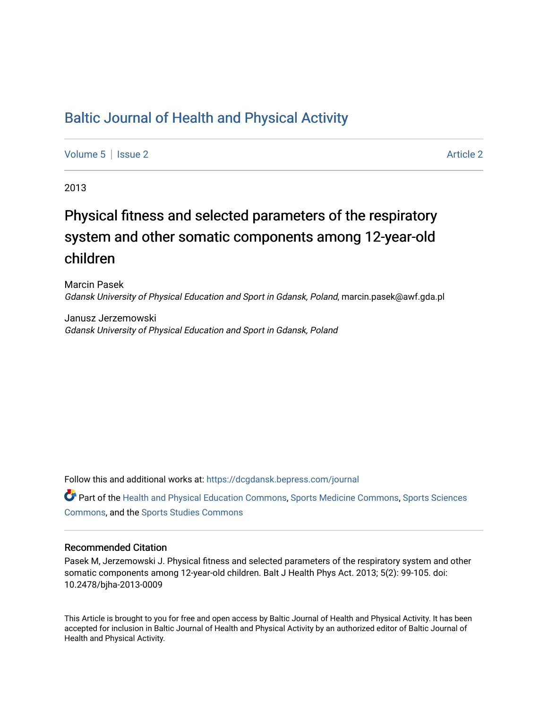# [Baltic Journal of Health and Physical Activity](https://dcgdansk.bepress.com/journal)

[Volume 5](https://dcgdansk.bepress.com/journal/vol5) | [Issue 2](https://dcgdansk.bepress.com/journal/vol5/iss2) Article 2

2013

# Physical fitness and selected parameters of the respiratory system and other somatic components among 12-year-old children

Marcin Pasek Gdansk University of Physical Education and Sport in Gdansk, Poland, marcin.pasek@awf.gda.pl

Janusz Jerzemowski Gdansk University of Physical Education and Sport in Gdansk, Poland

Follow this and additional works at: [https://dcgdansk.bepress.com/journal](https://dcgdansk.bepress.com/journal?utm_source=dcgdansk.bepress.com%2Fjournal%2Fvol5%2Fiss2%2F2&utm_medium=PDF&utm_campaign=PDFCoverPages)

Part of the [Health and Physical Education Commons](http://network.bepress.com/hgg/discipline/1327?utm_source=dcgdansk.bepress.com%2Fjournal%2Fvol5%2Fiss2%2F2&utm_medium=PDF&utm_campaign=PDFCoverPages), [Sports Medicine Commons,](http://network.bepress.com/hgg/discipline/1331?utm_source=dcgdansk.bepress.com%2Fjournal%2Fvol5%2Fiss2%2F2&utm_medium=PDF&utm_campaign=PDFCoverPages) [Sports Sciences](http://network.bepress.com/hgg/discipline/759?utm_source=dcgdansk.bepress.com%2Fjournal%2Fvol5%2Fiss2%2F2&utm_medium=PDF&utm_campaign=PDFCoverPages) [Commons](http://network.bepress.com/hgg/discipline/759?utm_source=dcgdansk.bepress.com%2Fjournal%2Fvol5%2Fiss2%2F2&utm_medium=PDF&utm_campaign=PDFCoverPages), and the [Sports Studies Commons](http://network.bepress.com/hgg/discipline/1198?utm_source=dcgdansk.bepress.com%2Fjournal%2Fvol5%2Fiss2%2F2&utm_medium=PDF&utm_campaign=PDFCoverPages) 

#### Recommended Citation

Pasek M, Jerzemowski J. Physical fitness and selected parameters of the respiratory system and other somatic components among 12-year-old children. Balt J Health Phys Act. 2013; 5(2): 99-105. doi: 10.2478/bjha-2013-0009

This Article is brought to you for free and open access by Baltic Journal of Health and Physical Activity. It has been accepted for inclusion in Baltic Journal of Health and Physical Activity by an authorized editor of Baltic Journal of Health and Physical Activity.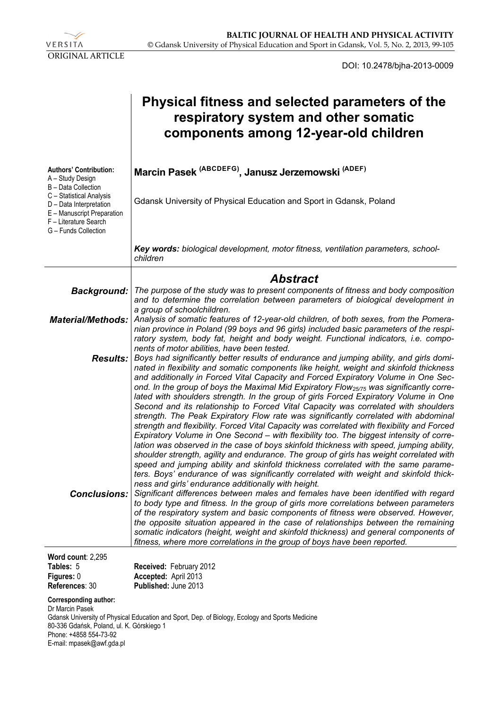

DOI: 10.2478/bjha-2013-0009

|                                                                                                                                                                                                                | Physical fitness and selected parameters of the<br>respiratory system and other somatic<br>components among 12-year-old children                                                                                                                                                                                                                                                                                                                                                                                                                                                                                                                                                                                                                                                                                                                                                                                                                                                                                                                                                                                                                                                                                                                                                                                                                                                                                                                                                                                                                                                          |
|----------------------------------------------------------------------------------------------------------------------------------------------------------------------------------------------------------------|-------------------------------------------------------------------------------------------------------------------------------------------------------------------------------------------------------------------------------------------------------------------------------------------------------------------------------------------------------------------------------------------------------------------------------------------------------------------------------------------------------------------------------------------------------------------------------------------------------------------------------------------------------------------------------------------------------------------------------------------------------------------------------------------------------------------------------------------------------------------------------------------------------------------------------------------------------------------------------------------------------------------------------------------------------------------------------------------------------------------------------------------------------------------------------------------------------------------------------------------------------------------------------------------------------------------------------------------------------------------------------------------------------------------------------------------------------------------------------------------------------------------------------------------------------------------------------------------|
| <b>Authors' Contribution:</b><br>A - Study Design<br>B - Data Collection<br>C - Statistical Analysis<br>D - Data Interpretation<br>E - Manuscript Preparation<br>F - Literature Search<br>G - Funds Collection | Marcin Pasek <sup>(ABCDEFG)</sup> , Janusz Jerzemowski <sup>(ADEF)</sup><br>Gdansk University of Physical Education and Sport in Gdansk, Poland                                                                                                                                                                                                                                                                                                                                                                                                                                                                                                                                                                                                                                                                                                                                                                                                                                                                                                                                                                                                                                                                                                                                                                                                                                                                                                                                                                                                                                           |
|                                                                                                                                                                                                                | Key words: biological development, motor fitness, ventilation parameters, school-<br>children                                                                                                                                                                                                                                                                                                                                                                                                                                                                                                                                                                                                                                                                                                                                                                                                                                                                                                                                                                                                                                                                                                                                                                                                                                                                                                                                                                                                                                                                                             |
|                                                                                                                                                                                                                | <b>Abstract</b>                                                                                                                                                                                                                                                                                                                                                                                                                                                                                                                                                                                                                                                                                                                                                                                                                                                                                                                                                                                                                                                                                                                                                                                                                                                                                                                                                                                                                                                                                                                                                                           |
|                                                                                                                                                                                                                | Background:   The purpose of the study was to present components of fitness and body composition<br>and to determine the correlation between parameters of biological development in                                                                                                                                                                                                                                                                                                                                                                                                                                                                                                                                                                                                                                                                                                                                                                                                                                                                                                                                                                                                                                                                                                                                                                                                                                                                                                                                                                                                      |
| <b>Material/Methods:</b>                                                                                                                                                                                       | a group of schoolchildren.<br>Analysis of somatic features of 12-year-old children, of both sexes, from the Pomera-<br>nian province in Poland (99 boys and 96 girls) included basic parameters of the respi-<br>ratory system, body fat, height and body weight. Functional indicators, i.e. compo-                                                                                                                                                                                                                                                                                                                                                                                                                                                                                                                                                                                                                                                                                                                                                                                                                                                                                                                                                                                                                                                                                                                                                                                                                                                                                      |
| <b>Results:</b><br><b>Conclusions:</b>                                                                                                                                                                         | nents of motor abilities, have been tested.<br>Boys had significantly better results of endurance and jumping ability, and girls domi-<br>nated in flexibility and somatic components like height, weight and skinfold thickness<br>and additionally in Forced Vital Capacity and Forced Expiratory Volume in One Sec-<br>ond. In the group of boys the Maximal Mid Expiratory Flow <sub>25/75</sub> was significantly corre-<br>lated with shoulders strength. In the group of girls Forced Expiratory Volume in One<br>Second and its relationship to Forced Vital Capacity was correlated with shoulders<br>strength. The Peak Expiratory Flow rate was significantly correlated with abdominal<br>strength and flexibility. Forced Vital Capacity was correlated with flexibility and Forced<br>Expiratory Volume in One Second - with flexibility too. The biggest intensity of corre-<br>lation was observed in the case of boys skinfold thickness with speed, jumping ability,<br>shoulder strength, agility and endurance. The group of girls has weight correlated with<br>speed and jumping ability and skinfold thickness correlated with the same parame-<br>ters. Boys' endurance of was significantly correlated with weight and skinfold thick-<br>ness and girls' endurance additionally with height.<br>Significant differences between males and females have been identified with regard<br>to body type and fitness. In the group of girls more correlations between parameters<br>of the respiratory system and basic components of fitness were observed. However, |
|                                                                                                                                                                                                                | the opposite situation appeared in the case of relationships between the remaining<br>somatic indicators (height, weight and skinfold thickness) and general components of<br>fitness, where more correlations in the group of boys have been reported.                                                                                                                                                                                                                                                                                                                                                                                                                                                                                                                                                                                                                                                                                                                                                                                                                                                                                                                                                                                                                                                                                                                                                                                                                                                                                                                                   |
| Word count: 2,295                                                                                                                                                                                              |                                                                                                                                                                                                                                                                                                                                                                                                                                                                                                                                                                                                                                                                                                                                                                                                                                                                                                                                                                                                                                                                                                                                                                                                                                                                                                                                                                                                                                                                                                                                                                                           |
| Tables: 5<br>Figures: 0<br>References: 30                                                                                                                                                                      | Received: February 2012<br>Accepted: April 2013<br>Published: June 2013                                                                                                                                                                                                                                                                                                                                                                                                                                                                                                                                                                                                                                                                                                                                                                                                                                                                                                                                                                                                                                                                                                                                                                                                                                                                                                                                                                                                                                                                                                                   |
| Corresponding author:<br>Dr Marcin Pasek                                                                                                                                                                       |                                                                                                                                                                                                                                                                                                                                                                                                                                                                                                                                                                                                                                                                                                                                                                                                                                                                                                                                                                                                                                                                                                                                                                                                                                                                                                                                                                                                                                                                                                                                                                                           |

Gdansk University of Physical Education and Sport, Dep. of Biology, Ecology and Sports Medicine 80-336 Gdańsk, Poland, ul. K. Górskiego 1 Phone: +4858 554-73-92 E-mail: mpasek@awf.gda.pl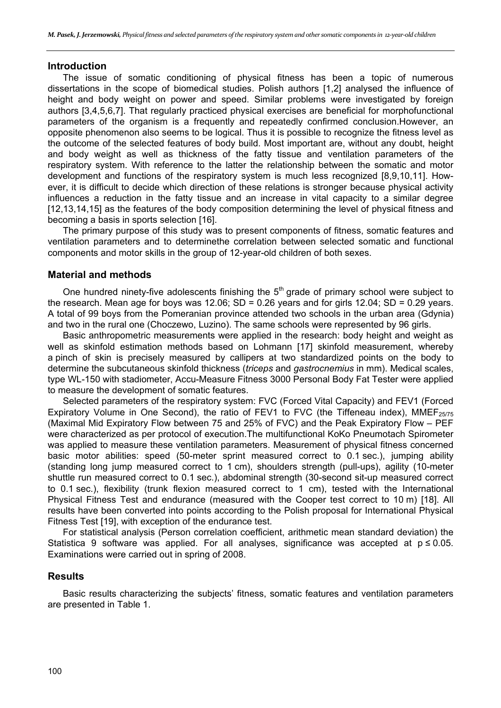#### **Introduction**

The issue of somatic conditioning of physical fitness has been a topic of numerous dissertations in the scope of biomedical studies. Polish authors [1,2] analysed the influence of height and body weight on power and speed. Similar problems were investigated by foreign authors [3,4,5,6,7]. That regularly practiced physical exercises are beneficial for morphofunctional parameters of the organism is a frequently and repeatedly confirmed conclusion.However, an opposite phenomenon also seems to be logical. Thus it is possible to recognize the fitness level as the outcome of the selected features of body build. Most important are, without any doubt, height and body weight as well as thickness of the fatty tissue and ventilation parameters of the respiratory system. With reference to the latter the relationship between the somatic and motor development and functions of the respiratory system is much less recognized [8,9,10,11]. However, it is difficult to decide which direction of these relations is stronger because physical activity influences a reduction in the fatty tissue and an increase in vital capacity to a similar degree [12,13,14,15] as the features of the body composition determining the level of physical fitness and becoming a basis in sports selection [16].

The primary purpose of this study was to present components of fitness, somatic features and ventilation parameters and to determinethe correlation between selected somatic and functional components and motor skills in the group of 12-year-old children of both sexes.

#### **Material and methods**

One hundred ninety-five adolescents finishing the  $5<sup>th</sup>$  grade of primary school were subject to the research. Mean age for boys was 12.06;  $SD = 0.26$  years and for girls 12.04;  $SD = 0.29$  years. A total of 99 boys from the Pomeranian province attended two schools in the urban area (Gdynia) and two in the rural one (Choczewo, Luzino). The same schools were represented by 96 girls.

Basic anthropometric measurements were applied in the research: body height and weight as well as skinfold estimation methods based on Lohmann [17] skinfold measurement, whereby a pinch of skin is precisely measured by callipers at two standardized points on the body to determine the subcutaneous skinfold thickness (*triceps* and *gastrocnemius* in mm). Medical scales, type WL-150 with stadiometer, Accu-Measure Fitness 3000 Personal Body Fat Tester were applied to measure the development of somatic features.

Selected parameters of the respiratory system: FVC (Forced Vital Capacity) and FEV1 (Forced Expiratory Volume in One Second), the ratio of FEV1 to FVC (the Tiffeneau index), MMEF<sub>25/75</sub> (Maximal Mid Expiratory Flow between 75 and 25% of FVC) and the Peak Expiratory Flow – PEF were characterized as per protocol of execution.The multifunctional KoKo Pneumotach Spirometer was applied to measure these ventilation parameters. Measurement of physical fitness concerned basic motor abilities: speed (50-meter sprint measured correct to 0.1 sec.), jumping ability (standing long jump measured correct to 1 cm), shoulders strength (pull-ups), agility (10-meter shuttle run measured correct to 0.1 sec.), abdominal strength (30-second sit-up measured correct to 0.1 sec.), flexibility (trunk flexion measured correct to 1 cm), tested with the International Physical Fitness Test and endurance (measured with the Cooper test correct to 10 m) [18]. All results have been converted into points according to the Polish proposal for International Physical Fitness Test [19], with exception of the endurance test.

For statistical analysis (Person correlation coefficient, arithmetic mean standard deviation) the Statistica 9 software was applied. For all analyses, significance was accepted at  $p \le 0.05$ . Examinations were carried out in spring of 2008.

## **Results**

Basic results characterizing the subjects' fitness, somatic features and ventilation parameters are presented in Table 1.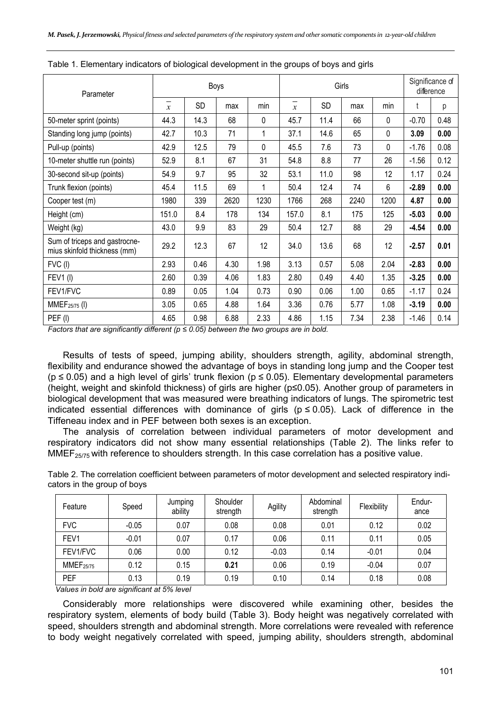| Parameter                                                     | Boys                             |           |      |      | Girls                             |      |      |      | Significance of<br>difference |      |
|---------------------------------------------------------------|----------------------------------|-----------|------|------|-----------------------------------|------|------|------|-------------------------------|------|
|                                                               | $\qquad \qquad$<br>$\mathcal{X}$ | <b>SD</b> | max  | min  | $\qquad \qquad$<br>$\mathfrak{X}$ | SD   | max  | min  | t                             | р    |
| 50-meter sprint (points)                                      | 44.3                             | 14.3      | 68   | 0    | 45.7                              | 11.4 | 66   | 0    | $-0.70$                       | 0.48 |
| Standing long jump (points)                                   | 42.7                             | 10.3      | 71   | 1    | 37.1                              | 14.6 | 65   | 0    | 3.09                          | 0.00 |
| Pull-up (points)                                              | 42.9                             | 12.5      | 79   | 0    | 45.5                              | 7.6  | 73   | 0    | $-1.76$                       | 0.08 |
| 10-meter shuttle run (points)                                 | 52.9                             | 8.1       | 67   | 31   | 54.8                              | 8.8  | 77   | 26   | $-1.56$                       | 0.12 |
| 30-second sit-up (points)                                     | 54.9                             | 9.7       | 95   | 32   | 53.1                              | 11.0 | 98   | 12   | 1.17                          | 0.24 |
| Trunk flexion (points)                                        | 45.4                             | 11.5      | 69   | 1    | 50.4                              | 12.4 | 74   | 6    | $-2.89$                       | 0.00 |
| Cooper test (m)                                               | 1980                             | 339       | 2620 | 1230 | 1766                              | 268  | 2240 | 1200 | 4.87                          | 0.00 |
| Height (cm)                                                   | 151.0                            | 8.4       | 178  | 134  | 157.0                             | 8.1  | 175  | 125  | $-5.03$                       | 0.00 |
| Weight (kg)                                                   | 43.0                             | 9.9       | 83   | 29   | 50.4                              | 12.7 | 88   | 29   | $-4.54$                       | 0.00 |
| Sum of triceps and gastrocne-<br>mius skinfold thickness (mm) | 29.2                             | 12.3      | 67   | 12   | 34.0                              | 13.6 | 68   | 12   | $-2.57$                       | 0.01 |
| FVC (I)                                                       | 2.93                             | 0.46      | 4.30 | 1.98 | 3.13                              | 0.57 | 5.08 | 2.04 | $-2.83$                       | 0.00 |
| <b>FEV1(I)</b>                                                | 2.60                             | 0.39      | 4.06 | 1.83 | 2.80                              | 0.49 | 4.40 | 1.35 | $-3.25$                       | 0.00 |
| FEV1/FVC                                                      | 0.89                             | 0.05      | 1.04 | 0.73 | 0.90                              | 0.06 | 1.00 | 0.65 | $-1.17$                       | 0.24 |
| MMEF <sub>25/75</sub> (I)                                     | 3.05                             | 0.65      | 4.88 | 1.64 | 3.36                              | 0.76 | 5.77 | 1.08 | $-3.19$                       | 0.00 |
| PEF(I)                                                        | 4.65                             | 0.98      | 6.88 | 2.33 | 4.86                              | 1.15 | 7.34 | 2.38 | $-1.46$                       | 0.14 |

Table 1. Elementary indicators of biological development in the groups of boys and girls

*Factors that are significantly different (p ≤ 0.05) between the two groups are in bold.* 

Results of tests of speed, jumping ability, shoulders strength, agility, abdominal strength, flexibility and endurance showed the advantage of boys in standing long jump and the Cooper test  $(p \le 0.05)$  and a high level of girls' trunk flexion ( $p \le 0.05$ ). Elementary developmental parameters (height, weight and skinfold thickness) of girls are higher (p≤0.05). Another group of parameters in biological development that was measured were breathing indicators of lungs. The spirometric test indicated essential differences with dominance of girls ( $p \le 0.05$ ). Lack of difference in the Tiffeneau index and in PEF between both sexes is an exception.

The analysis of correlation between individual parameters of motor development and respiratory indicators did not show many essential relationships (Table 2). The links refer to  $MMEF_{25/75}$  with reference to shoulders strength. In this case correlation has a positive value.

Table 2. The correlation coefficient between parameters of motor development and selected respiratory indicators in the group of boys

| Feature          | Speed   | Jumping<br>ability | Shoulder<br>strength | Agility | Abdominal<br>strength | Flexibility | Endur-<br>ance |
|------------------|---------|--------------------|----------------------|---------|-----------------------|-------------|----------------|
| <b>FVC</b>       | $-0.05$ | 0.07               | 0.08                 | 0.08    | 0.01                  | 0.12        | 0.02           |
| FEV1             | $-0.01$ | 0.07               | 0.17                 | 0.06    | 0.11                  | 0.11        | 0.05           |
| FEV1/FVC         | 0.06    | 0.00               | 0.12                 | $-0.03$ | 0.14                  | $-0.01$     | 0.04           |
| <b>MMEF25/75</b> | 0.12    | 0.15               | 0.21                 | 0.06    | 0.19                  | $-0.04$     | 0.07           |
| PEF              | 0.13    | 0.19               | 0.19                 | 0.10    | 0.14                  | 0.18        | 0.08           |

*Values in bold are significant at 5% level* 

Considerably more relationships were discovered while examining other, besides the respiratory system, elements of body build (Table 3). Body height was negatively correlated with speed, shoulders strength and abdominal strength. More correlations were revealed with reference to body weight negatively correlated with speed, jumping ability, shoulders strength, abdominal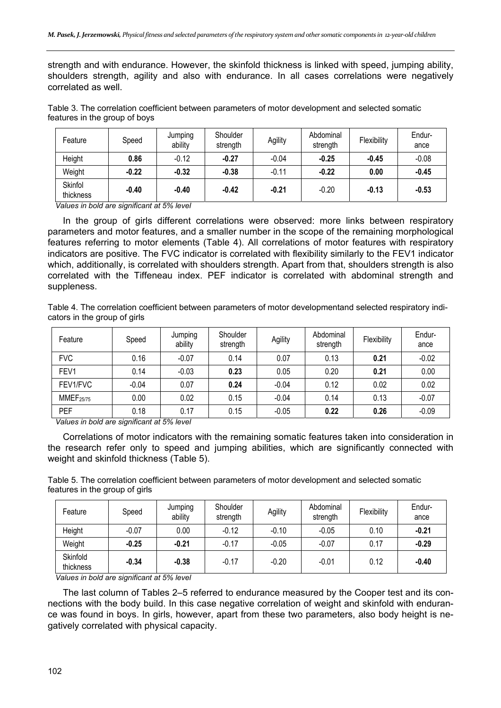strength and with endurance. However, the skinfold thickness is linked with speed, jumping ability, shoulders strength, agility and also with endurance. In all cases correlations were negatively correlated as well.

Table 3. The correlation coefficient between parameters of motor development and selected somatic features in the group of boys

| Feature              | Speed   | Jumping<br>ability | Shoulder<br>strength | Agility | Abdominal<br>strength | Flexibility | Endur-<br>ance |
|----------------------|---------|--------------------|----------------------|---------|-----------------------|-------------|----------------|
| Height               | 0.86    | $-0.12$            | $-0.27$              | $-0.04$ | $-0.25$               | $-0.45$     | $-0.08$        |
| Weight               | $-0.22$ | $-0.32$            | $-0.38$              | $-0.11$ | $-0.22$               | 0.00        | $-0.45$        |
| Skinfol<br>thickness | $-0.40$ | $-0.40$            | $-0.42$              | $-0.21$ | $-0.20$               | $-0.13$     | $-0.53$        |

*Values in bold are significant at 5% level* 

In the group of girls different correlations were observed: more links between respiratory parameters and motor features, and a smaller number in the scope of the remaining morphological features referring to motor elements (Table 4). All correlations of motor features with respiratory indicators are positive. The FVC indicator is correlated with flexibility similarly to the FEV1 indicator which, additionally, is correlated with shoulders strength. Apart from that, shoulders strength is also correlated with the Tiffeneau index. PEF indicator is correlated with abdominal strength and suppleness.

Table 4. The correlation coefficient between parameters of motor developmentand selected respiratory indicators in the group of girls

| Feature          | Speed   | Jumping<br>ability | Shoulder<br>strength | Agility | Abdominal<br>strength | Flexibility | Endur-<br>ance |
|------------------|---------|--------------------|----------------------|---------|-----------------------|-------------|----------------|
| <b>FVC</b>       | 0.16    | $-0.07$            | 0.14                 | 0.07    | 0.13                  | 0.21        | $-0.02$        |
| FEV1             | 0.14    | $-0.03$            | 0.23                 | 0.05    | 0.20                  | 0.21        | 0.00           |
| FEV1/FVC         | $-0.04$ | 0.07               | 0.24                 | $-0.04$ | 0.12                  | 0.02        | 0.02           |
| <b>MMEF25/75</b> | 0.00    | 0.02               | 0.15                 | $-0.04$ | 0.14                  | 0.13        | $-0.07$        |
| PEF              | 0.18    | 0.17               | 0.15                 | $-0.05$ | 0.22                  | 0.26        | $-0.09$        |

*Values in bold are significant at 5% level* 

Correlations of motor indicators with the remaining somatic features taken into consideration in the research refer only to speed and jumping abilities, which are significantly connected with weight and skinfold thickness (Table 5).

Table 5. The correlation coefficient between parameters of motor development and selected somatic features in the group of girls

| Feature               | Speed   | Jumping<br>ability | Shoulder<br>strength | Agility | Abdominal<br>strength | Flexibility | Endur-<br>ance |
|-----------------------|---------|--------------------|----------------------|---------|-----------------------|-------------|----------------|
| Height                | $-0.07$ | 0.00               | $-0.12$              | $-0.10$ | $-0.05$               | 0.10        | $-0.21$        |
| Weight                | $-0.25$ | $-0.21$            | $-0.17$              | $-0.05$ | $-0.07$               | 0.17        | $-0.29$        |
| Skinfold<br>thickness | $-0.34$ | $-0.38$            | $-0.17$              | $-0.20$ | $-0.01$               | 0.12        | $-0.40$        |

*Values in bold are significant at 5% level* 

The last column of Tables 2–5 referred to endurance measured by the Cooper test and its connections with the body build. In this case negative correlation of weight and skinfold with endurance was found in boys. In girls, however, apart from these two parameters, also body height is negatively correlated with physical capacity.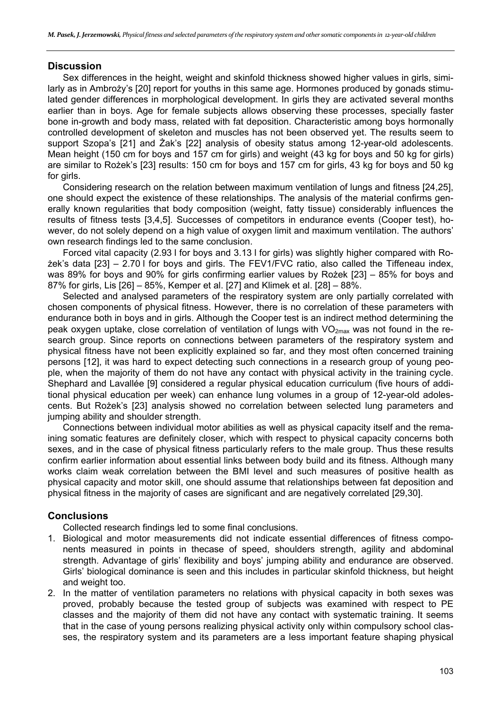# **Discussion**

Sex differences in the height, weight and skinfold thickness showed higher values in girls, similarly as in Ambroży's [20] report for youths in this same age. Hormones produced by gonads stimulated gender differences in morphological development. In girls they are activated several months earlier than in boys. Age for female subjects allows observing these processes, specially faster bone in-growth and body mass, related with fat deposition. Characteristic among boys hormonally controlled development of skeleton and muscles has not been observed yet. The results seem to support Szopa's [21] and Żak's [22] analysis of obesity status among 12-year-old adolescents. Mean height (150 cm for boys and 157 cm for girls) and weight (43 kg for boys and 50 kg for girls) are similar to Rożek's [23] results: 150 cm for boys and 157 cm for girls, 43 kg for boys and 50 kg for girls.

Considering research on the relation between maximum ventilation of lungs and fitness [24,25], one should expect the existence of these relationships. The analysis of the material confirms generally known regularities that body composition (weight, fatty tissue) considerably influences the results of fitness tests [3,4,5]. Successes of competitors in endurance events (Cooper test), however, do not solely depend on a high value of oxygen limit and maximum ventilation. The authors' own research findings led to the same conclusion.

Forced vital capacity (2.93 l for boys and 3.13 l for girls) was slightly higher compared with Rożek's data [23] – 2.70 l for boys and girls. The FEV1/FVC ratio, also called the Tiffeneau index, was 89% for boys and 90% for girls confirming earlier values by Rożek [23] – 85% for boys and 87% for girls, Lis [26] – 85%, Kemper et al. [27] and Klimek et al. [28] – 88%.

Selected and analysed parameters of the respiratory system are only partially correlated with chosen components of physical fitness. However, there is no correlation of these parameters with endurance both in boys and in girls. Although the Cooper test is an indirect method determining the peak oxygen uptake, close correlation of ventilation of lungs with  $VO_{2max}$  was not found in the research group. Since reports on connections between parameters of the respiratory system and physical fitness have not been explicitly explained so far, and they most often concerned training persons [12], it was hard to expect detecting such connections in a research group of young people, when the majority of them do not have any contact with physical activity in the training cycle. Shephard and Lavallée [9] considered a regular physical education curriculum (five hours of additional physical education per week) can enhance lung volumes in a group of 12-year-old adolescents. But Rożek's [23] analysis showed no correlation between selected lung parameters and jumping ability and shoulder strength.

Connections between individual motor abilities as well as physical capacity itself and the remaining somatic features are definitely closer, which with respect to physical capacity concerns both sexes, and in the case of physical fitness particularly refers to the male group. Thus these results confirm earlier information about essential links between body build and its fitness. Although many works claim weak correlation between the BMI level and such measures of positive health as physical capacity and motor skill, one should assume that relationships between fat deposition and physical fitness in the majority of cases are significant and are negatively correlated [29,30].

# **Conclusions**

Collected research findings led to some final conclusions.

- 1. Biological and motor measurements did not indicate essential differences of fitness components measured in points in thecase of speed, shoulders strength, agility and abdominal strength. Advantage of girls' flexibility and boys' jumping ability and endurance are observed. Girls' biological dominance is seen and this includes in particular skinfold thickness, but height and weight too.
- 2. In the matter of ventilation parameters no relations with physical capacity in both sexes was proved, probably because the tested group of subjects was examined with respect to PE classes and the majority of them did not have any contact with systematic training. It seems that in the case of young persons realizing physical activity only within compulsory school classes, the respiratory system and its parameters are a less important feature shaping physical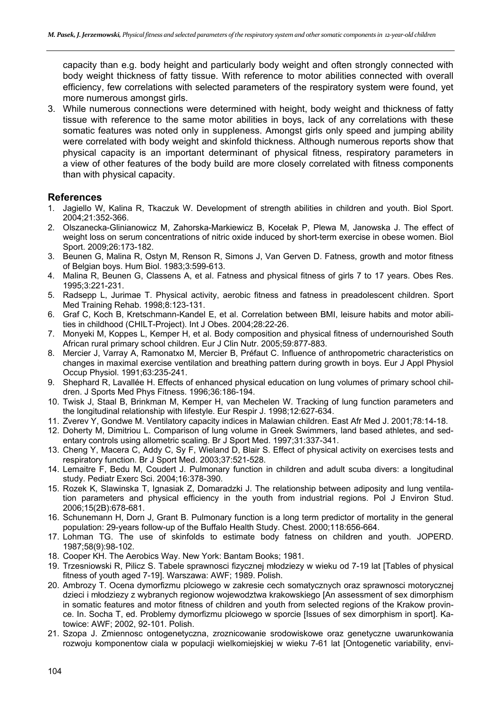capacity than e.g. body height and particularly body weight and often strongly connected with body weight thickness of fatty tissue. With reference to motor abilities connected with overall efficiency, few correlations with selected parameters of the respiratory system were found, yet more numerous amongst girls.

3. While numerous connections were determined with height, body weight and thickness of fatty tissue with reference to the same motor abilities in boys, lack of any correlations with these somatic features was noted only in suppleness. Amongst girls only speed and jumping ability were correlated with body weight and skinfold thickness. Although numerous reports show that physical capacity is an important determinant of physical fitness, respiratory parameters in a view of other features of the body build are more closely correlated with fitness components than with physical capacity.

# **References**

- 1. Jagiello W, Kalina R, Tkaczuk W. Development of strength abilities in children and youth. Biol Sport. 2004;21:352-366.
- 2. Olszanecka-Glinianowicz M, Zahorska-Markiewicz B, Kocełak P, Plewa M, Janowska J. The effect of weight loss on serum concentrations of nitric oxide induced by short-term exercise in obese women. Biol Sport. 2009;26:173-182.
- 3. Beunen G, Malina R, Ostyn M, Renson R, Simons J, Van Gerven D. Fatness, growth and motor fitness of Belgian boys. Hum Biol. 1983;3:599-613.
- 4. Malina R, Beunen G, Classens A, et al. Fatness and physical fitness of girls 7 to 17 years. Obes Res. 1995;3:221-231.
- 5. Radsepp L, Jurimae T. Physical activity, aerobic fitness and fatness in preadolescent children. Sport Med Training Rehab. 1998;8:123-131.
- 6. Graf C, Koch B, Kretschmann-Kandel E, et al. Correlation between BMI, leisure habits and motor abilities in childhood (CHILT-Project). Int J Obes. 2004;28:22-26.
- 7. Monyeki M, Koppes L, Kemper H, et al. Body composition and physical fitness of undernourished South African rural primary school children. Eur J Clin Nutr. 2005;59:877-883.
- 8. Mercier J, Varray A, Ramonatxo M, Mercier B, Préfaut C. Influence of anthropometric characteristics on changes in maximal exercise ventilation and breathing pattern during growth in boys. Eur J Appl Physiol Occup Physiol. 1991;63:235-241.
- 9. Shephard R, Lavallée H. Effects of enhanced physical education on lung volumes of primary school children. J Sports Med Phys Fitness. 1996;36:186-194.
- 10. Twisk J, Staal B, Brinkman M, Kemper H, van Mechelen W. Tracking of lung function parameters and the longitudinal relationship with lifestyle. Eur Respir J. 1998;12:627-634.
- 11. Zverev Y, Gondwe M. Ventilatory capacity indices in Malawian children. East Afr Med J. 2001;78:14-18.
- 12. Doherty M, Dimitriou L. Comparison of lung volume in Greek Swimmers, land based athletes, and sedentary controls using allometric scaling. Br J Sport Med. 1997;31:337-341.
- 13. Cheng Y, Macera C, Addy C, Sy F, Wieland D, Blair S. Effect of physical activity on exercises tests and respiratory function. Br J Sport Med. 2003;37:521-528.
- 14. Lemaitre F, Bedu M, Coudert J. Pulmonary function in children and adult scuba divers: a longitudinal study. Pediatr Exerc Sci. 2004;16:378-390.
- 15. Rozek K, Slawinska T, Ignasiak Z, Domaradzki J. The relationship between adiposity and lung ventilation parameters and physical efficiency in the youth from industrial regions. Pol J Environ Stud. 2006;15(2B):678-681.
- 16. Schunemann H, Dorn J, Grant B. Pulmonary function is a long term predictor of mortality in the general population: 29-years follow-up of the Buffalo Health Study. Chest. 2000;118:656-664.
- 17. Lohman TG. The use of skinfolds to estimate body fatness on children and youth. JOPERD. 1987;58(9):98-102.
- 18. Cooper KH. The Aerobics Way. New York: Bantam Books; 1981.
- 19. Trzesniowski R, Pilicz S. Tabele sprawnosci fizycznej młodziezy w wieku od 7-19 lat [Tables of physical fitness of youth aged 7-19]. Warszawa: AWF; 1989. Polish.
- 20. Ambrozy T. Ocena dymorfizmu plciowego w zakresie cech somatycznych oraz sprawnosci motorycznej dzieci i młodziezy z wybranych regionow wojewodztwa krakowskiego [An assessment of sex dimorphism in somatic features and motor fitness of children and youth from selected regions of the Krakow province. In. Socha T, ed. Problemy dymorfizmu plciowego w sporcie [Issues of sex dimorphism in sport]. Katowice: AWF; 2002, 92-101. Polish.
- 21. Szopa J. Zmiennosc ontogenetyczna, zroznicowanie srodowiskowe oraz genetyczne uwarunkowania rozwoju komponentow ciala w populacji wielkomiejskiej w wieku 7-61 lat [Ontogenetic variability, envi-